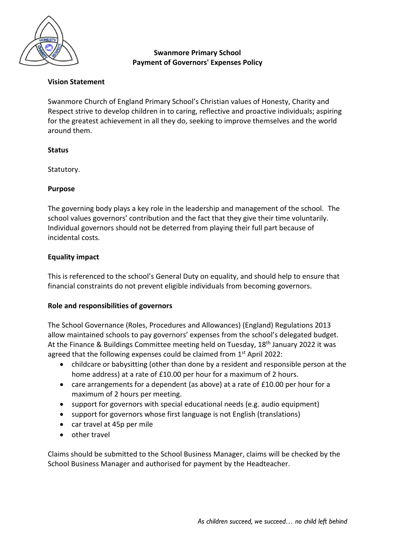

# **Swanmore Primary School Payment of Governors' Expenses Policy**

## **Vision Statement**

Swanmore Church of England Primary School's Christian values of Honesty, Charity and Respect strive to develop children in to caring, reflective and proactive individuals; aspiring for the greatest achievement in all they do, seeking to improve themselves and the world around them.

### **Status**

Statutory.

### **Purpose**

The governing body plays a key role in the leadership and management of the school. The school values governors' contribution and the fact that they give their time voluntarily. Individual governors should not be deterred from playing their full part because of incidental costs.

## **Equality impact**

This is referenced to the school's General Duty on equality, and should help to ensure that financial constraints do not prevent eligible individuals from becoming governors.

#### **Role and responsibilities of governors**

The School Governance (Roles, Procedures and Allowances) (England) Regulations 2013 allow maintained schools to pay governors' expenses from the school's delegated budget. At the Finance & Buildings Committee meeting held on Tuesday, 18<sup>th</sup> January 2022 it was agreed that the following expenses could be claimed from 1<sup>st</sup> April 2022:

- childcare or babysitting (other than done by a resident and responsible person at the home address) at a rate of £10.00 per hour for a maximum of 2 hours.
- care arrangements for a dependent (as above) at a rate of £10.00 per hour for a maximum of 2 hours per meeting.
- support for governors with special educational needs (e.g. audio equipment)
- support for governors whose first language is not English (translations)
- car travel at 45p per mile
- other travel

Claims should be submitted to the School Business Manager, claims will be checked by the School Business Manager and authorised for payment by the Headteacher.